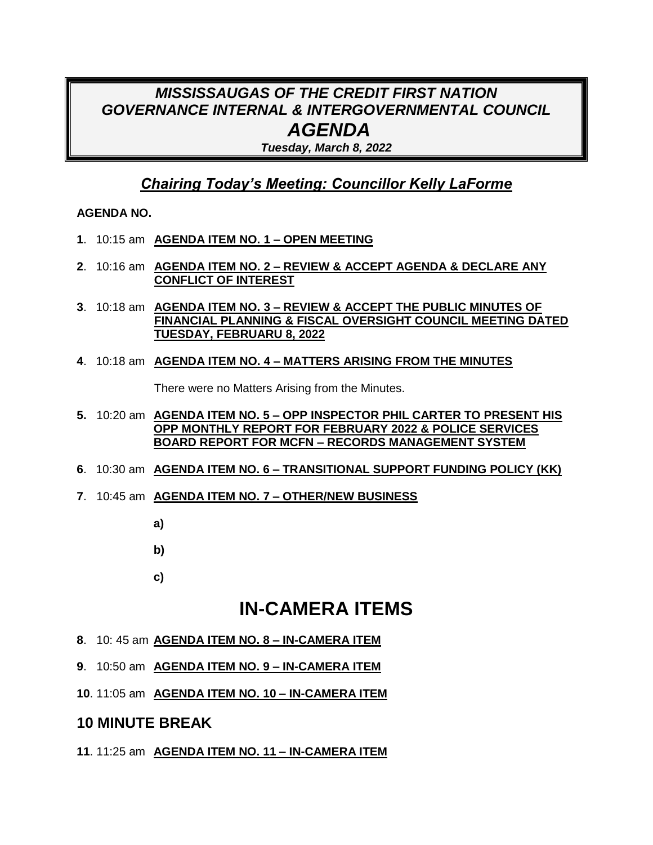## *MISSISSAUGAS OF THE CREDIT FIRST NATION GOVERNANCE INTERNAL & INTERGOVERNMENTAL COUNCIL AGENDA*

*Tuesday, March 8, 2022*

### *Chairing Today's Meeting: Councillor Kelly LaForme*

#### **AGENDA NO.**

- **1**. 10:15 am **AGENDA ITEM NO. 1 – OPEN MEETING**
- **2**. 10:16 am **AGENDA ITEM NO. 2 – REVIEW & ACCEPT AGENDA & DECLARE ANY CONFLICT OF INTEREST**
- **3**. 10:18 am **AGENDA ITEM NO. 3 – REVIEW & ACCEPT THE PUBLIC MINUTES OF FINANCIAL PLANNING & FISCAL OVERSIGHT COUNCIL MEETING DATED TUESDAY, FEBRUARU 8, 2022**
- **4**. 10:18 am **AGENDA ITEM NO. 4 – MATTERS ARISING FROM THE MINUTES**

There were no Matters Arising from the Minutes.

- **5.** 10:20 am **AGENDA ITEM NO. 5 – OPP INSPECTOR PHIL CARTER TO PRESENT HIS OPP MONTHLY REPORT FOR FEBRUARY 2022 & POLICE SERVICES BOARD REPORT FOR MCFN – RECORDS MANAGEMENT SYSTEM**
- **6**. 10:30 am **AGENDA ITEM NO. 6 – TRANSITIONAL SUPPORT FUNDING POLICY (KK)**
- **7**. 10:45 am **AGENDA ITEM NO. 7 – OTHER/NEW BUSINESS**
	- **a)**
	- **b)**
	- **c)**

# **IN-CAMERA ITEMS**

- **8**. 10: 45 am **AGENDA ITEM NO. 8 – IN-CAMERA ITEM**
- **9**. 10:50 am **AGENDA ITEM NO. 9 – IN-CAMERA ITEM**
- **10**. 11:05 am **AGENDA ITEM NO. 10 – IN-CAMERA ITEM**

### **10 MINUTE BREAK**

**11**. 11:25 am **AGENDA ITEM NO. 11 – IN-CAMERA ITEM**